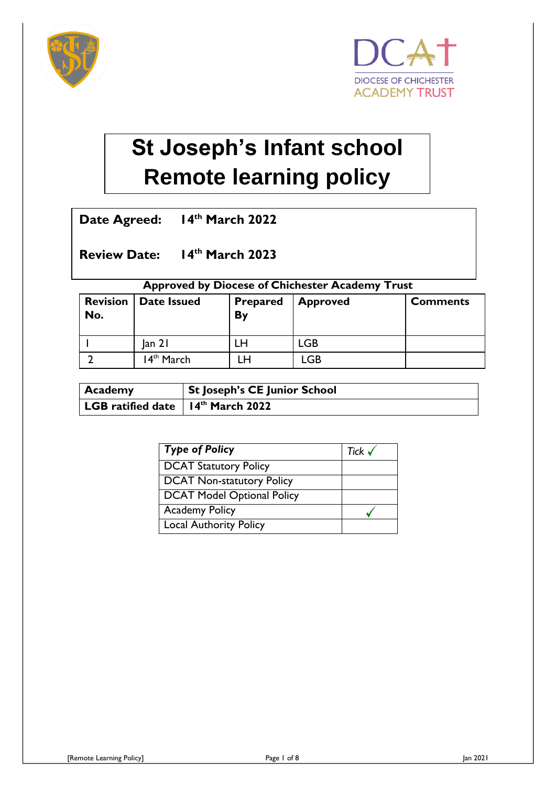



# **St Joseph's Infant school Remote learning policy**

**Date Agreed: 14th March 2022**

**Review Date: 14th March 2023**

#### **Approved by Diocese of Chichester Academy Trust**

| <b>Revision</b><br>No. | Date Issued            | <b>Prepared</b><br>By | <b>Approved</b> | <b>Comments</b> |
|------------------------|------------------------|-----------------------|-----------------|-----------------|
|                        | an 2                   | LH                    | LGB             |                 |
|                        | 14 <sup>th</sup> March | LH                    | LGB             |                 |

| <b>Academy</b>                                        | St Joseph's CE Junior School |
|-------------------------------------------------------|------------------------------|
| LGB ratified date $\vert$ 14 <sup>th</sup> March 2022 |                              |

| <b>Type of Policy</b>             | Tick $\checkmark$ |
|-----------------------------------|-------------------|
| <b>DCAT Statutory Policy</b>      |                   |
| <b>DCAT Non-statutory Policy</b>  |                   |
| <b>DCAT Model Optional Policy</b> |                   |
| <b>Academy Policy</b>             |                   |
| <b>Local Authority Policy</b>     |                   |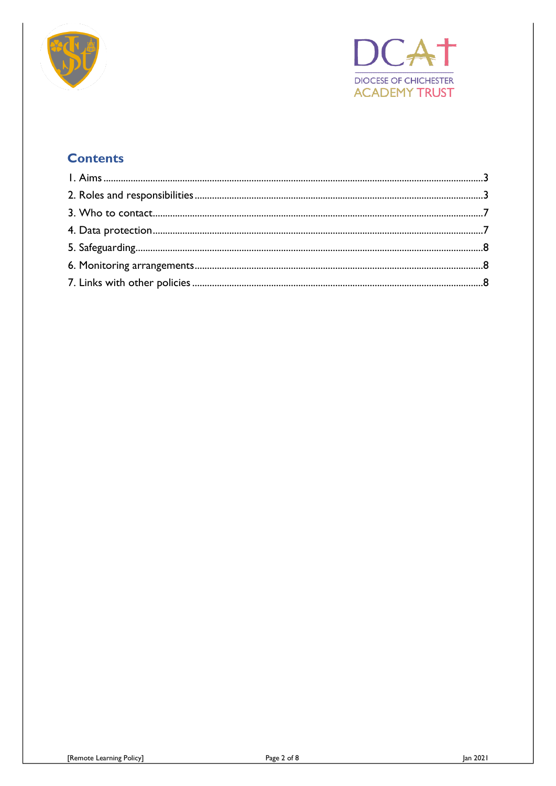



# **Contents**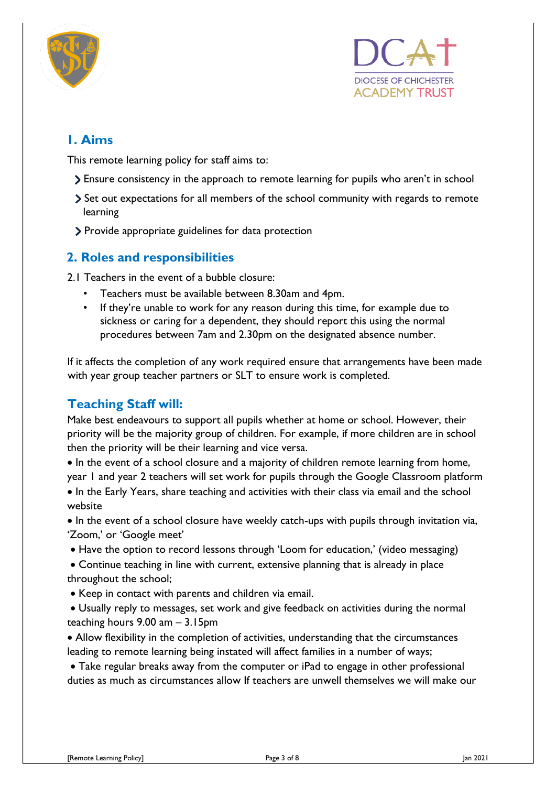



# <span id="page-2-0"></span>**1. Aims**

This remote learning policy for staff aims to:

- Ensure consistency in the approach to remote learning for pupils who aren't in school
- Set out expectations for all members of the school community with regards to remote learning
- Provide appropriate guidelines for data protection

#### <span id="page-2-1"></span>**2. Roles and responsibilities**

2.1 Teachers in the event of a bubble closure:

- Teachers must be available between 8.30am and 4pm.
- If they're unable to work for any reason during this time, for example due to sickness or caring for a dependent, they should report this using the normal procedures between 7am and 2.30pm on the designated absence number.

If it affects the completion of any work required ensure that arrangements have been made with year group teacher partners or SLT to ensure work is completed.

## **Teaching Staff will:**

Make best endeavours to support all pupils whether at home or school. However, their priority will be the majority group of children. For example, if more children are in school then the priority will be their learning and vice versa.

• In the event of a school closure and a majority of children remote learning from home, year 1 and year 2 teachers will set work for pupils through the Google Classroom platform • In the Early Years, share teaching and activities with their class via email and the school website

• In the event of a school closure have weekly catch-ups with pupils through invitation via, 'Zoom,' or 'Google meet'

• Have the option to record lessons through 'Loom for education,' (video messaging)

 Continue teaching in line with current, extensive planning that is already in place throughout the school;

- Keep in contact with parents and children via email.
- Usually reply to messages, set work and give feedback on activities during the normal teaching hours 9.00 am – 3.15pm

 Allow flexibility in the completion of activities, understanding that the circumstances leading to remote learning being instated will affect families in a number of ways;

 Take regular breaks away from the computer or iPad to engage in other professional duties as much as circumstances allow If teachers are unwell themselves we will make our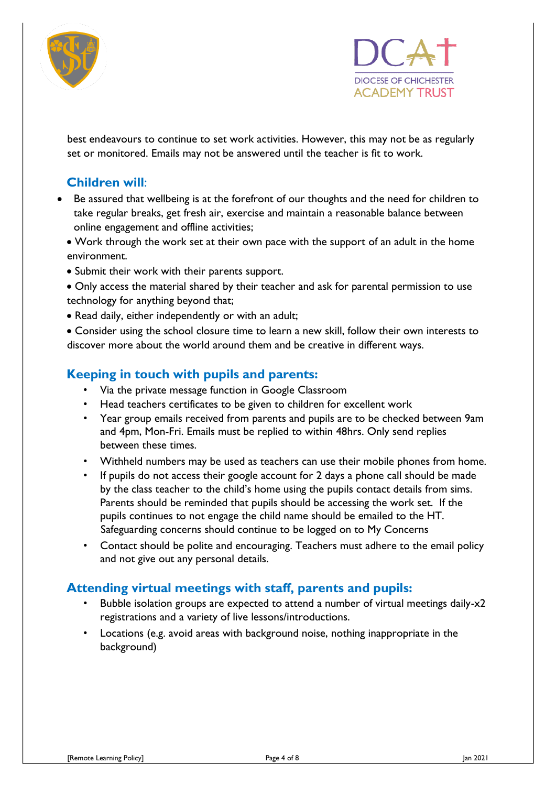



best endeavours to continue to set work activities. However, this may not be as regularly set or monitored. Emails may not be answered until the teacher is fit to work.

# **Children will**:

- Be assured that wellbeing is at the forefront of our thoughts and the need for children to take regular breaks, get fresh air, exercise and maintain a reasonable balance between online engagement and offline activities;
	- Work through the work set at their own pace with the support of an adult in the home environment.
	- Submit their work with their parents support.
	- Only access the material shared by their teacher and ask for parental permission to use technology for anything beyond that;
	- Read daily, either independently or with an adult;

 Consider using the school closure time to learn a new skill, follow their own interests to discover more about the world around them and be creative in different ways.

## **Keeping in touch with pupils and parents:**

- Via the private message function in Google Classroom
- Head teachers certificates to be given to children for excellent work
- Year group emails received from parents and pupils are to be checked between 9am and 4pm, Mon-Fri. Emails must be replied to within 48hrs. Only send replies between these times.
- Withheld numbers may be used as teachers can use their mobile phones from home.
- If pupils do not access their google account for 2 days a phone call should be made by the class teacher to the child's home using the pupils contact details from sims. Parents should be reminded that pupils should be accessing the work set. If the pupils continues to not engage the child name should be emailed to the HT. Safeguarding concerns should continue to be logged on to My Concerns
- Contact should be polite and encouraging. Teachers must adhere to the email policy and not give out any personal details.

#### **Attending virtual meetings with staff, parents and pupils:**

- Bubble isolation groups are expected to attend a number of virtual meetings daily-x2 registrations and a variety of live lessons/introductions.
- Locations (e.g. avoid areas with background noise, nothing inappropriate in the background)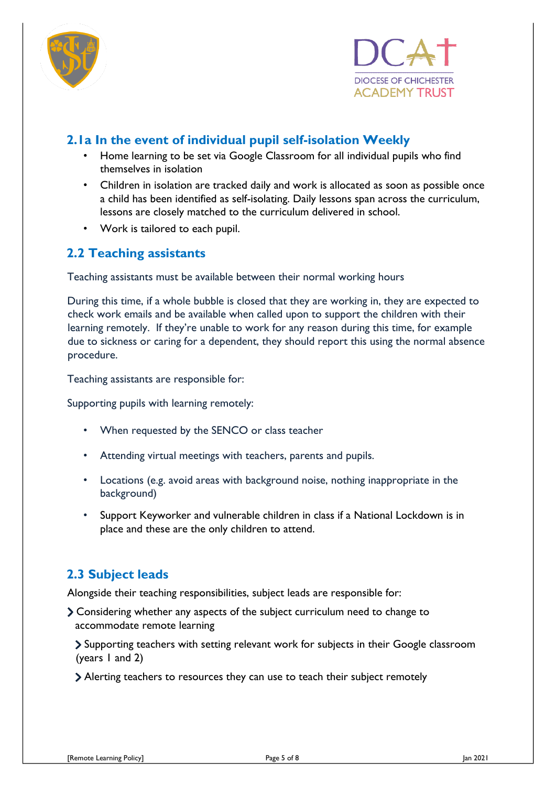



# **2.1a In the event of individual pupil self-isolation Weekly**

- Home learning to be set via Google Classroom for all individual pupils who find themselves in isolation
- Children in isolation are tracked daily and work is allocated as soon as possible once a child has been identified as self-isolating. Daily lessons span across the curriculum, lessons are closely matched to the curriculum delivered in school.
- Work is tailored to each pupil.

# **2.2 Teaching assistants**

Teaching assistants must be available between their normal working hours

During this time, if a whole bubble is closed that they are working in, they are expected to check work emails and be available when called upon to support the children with their learning remotely. If they're unable to work for any reason during this time, for example due to sickness or caring for a dependent, they should report this using the normal absence procedure.

Teaching assistants are responsible for:

Supporting pupils with learning remotely:

- When requested by the SENCO or class teacher
- Attending virtual meetings with teachers, parents and pupils.
- Locations (e.g. avoid areas with background noise, nothing inappropriate in the background)
- Support Keyworker and vulnerable children in class if a National Lockdown is in place and these are the only children to attend.

# **2.3 Subject leads**

Alongside their teaching responsibilities, subject leads are responsible for:

Considering whether any aspects of the subject curriculum need to change to accommodate remote learning

Supporting teachers with setting relevant work for subjects in their Google classroom (years 1 and 2)

Alerting teachers to resources they can use to teach their subject remotely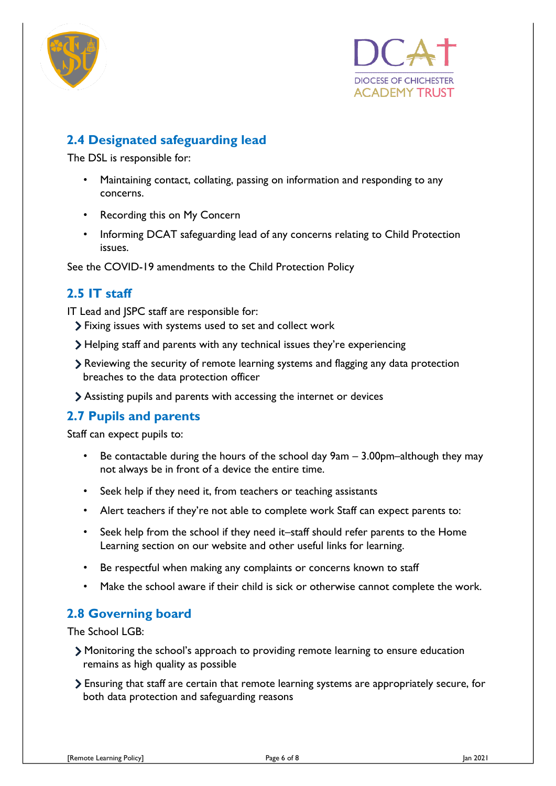



# **2.4 Designated safeguarding lead**

The DSL is responsible for:

- Maintaining contact, collating, passing on information and responding to any concerns.
- Recording this on My Concern
- Informing DCAT safeguarding lead of any concerns relating to Child Protection issues.

See the COVID-19 amendments to the Child Protection Policy

## **2.5 IT staff**

IT Lead and JSPC staff are responsible for:

- Fixing issues with systems used to set and collect work
- Helping staff and parents with any technical issues they're experiencing
- Reviewing the security of remote learning systems and flagging any data protection breaches to the data protection officer
- Assisting pupils and parents with accessing the internet or devices

# **2.7 Pupils and parents**

Staff can expect pupils to:

- Be contactable during the hours of the school day  $9am 3.00pm-$ although they may not always be in front of a device the entire time.
- Seek help if they need it, from teachers or teaching assistants
- Alert teachers if they're not able to complete work Staff can expect parents to:
- Seek help from the school if they need it–staff should refer parents to the Home Learning section on our website and other useful links for learning.
- Be respectful when making any complaints or concerns known to staff
- Make the school aware if their child is sick or otherwise cannot complete the work.

## **2.8 Governing board**

The School LGB:

- Monitoring the school's approach to providing remote learning to ensure education remains as high quality as possible
- Ensuring that staff are certain that remote learning systems are appropriately secure, for both data protection and safeguarding reasons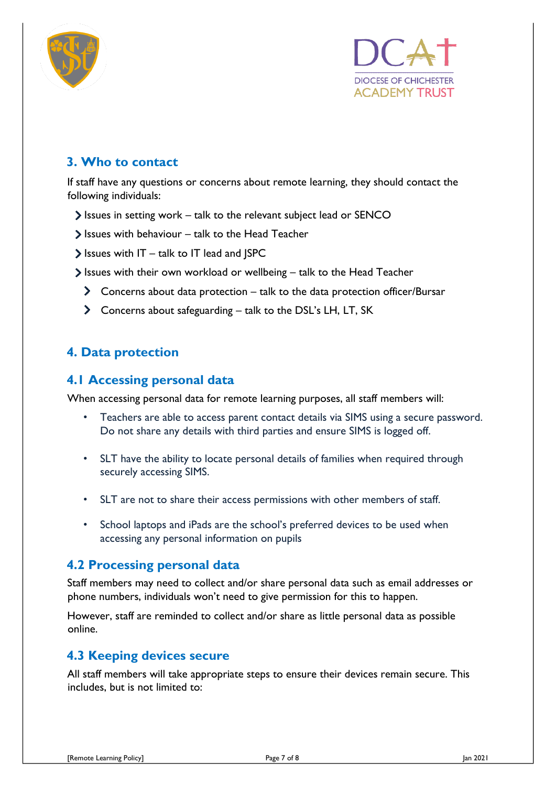



# <span id="page-6-0"></span>**3. Who to contact**

If staff have any questions or concerns about remote learning, they should contact the following individuals:

- Issues in setting work talk to the relevant subject lead or SENCO
- $\triangleright$  Issues with behaviour talk to the Head Teacher
- $\blacktriangleright$  Issues with IT talk to IT lead and JSPC
- $\triangleright$  Issues with their own workload or wellbeing talk to the Head Teacher
	- Concerns about data protection talk to the data protection officer/Bursar
	- Concerns about safeguarding talk to the DSL's LH, LT, SK

# <span id="page-6-1"></span>**4. Data protection**

#### **4.1 Accessing personal data**

When accessing personal data for remote learning purposes, all staff members will:

- Teachers are able to access parent contact details via SIMS using a secure password. Do not share any details with third parties and ensure SIMS is logged off.
- SLT have the ability to locate personal details of families when required through securely accessing SIMS.
- SLT are not to share their access permissions with other members of staff.
- School laptops and iPads are the school's preferred devices to be used when accessing any personal information on pupils

#### **4.2 Processing personal data**

Staff members may need to collect and/or share personal data such as email addresses or phone numbers, individuals won't need to give permission for this to happen.

However, staff are reminded to collect and/or share as little personal data as possible online.

#### **4.3 Keeping devices secure**

All staff members will take appropriate steps to ensure their devices remain secure. This includes, but is not limited to: